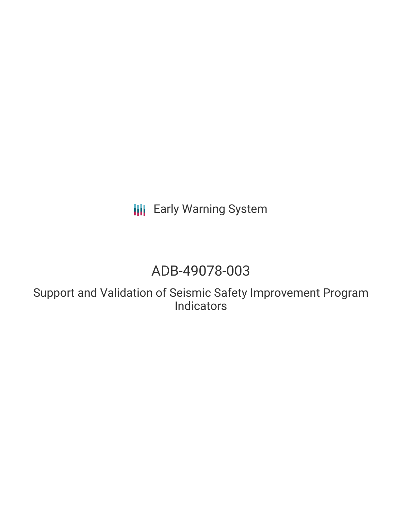# **III** Early Warning System

## ADB-49078-003

Support and Validation of Seismic Safety Improvement Program **Indicators**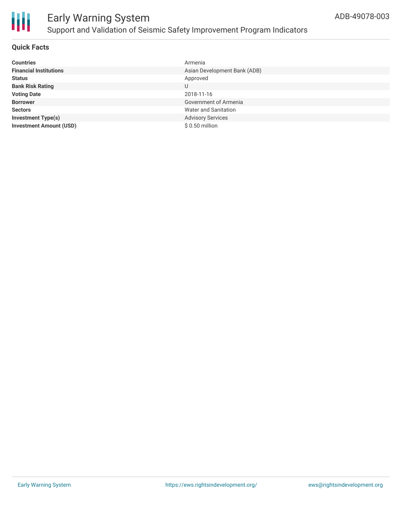

### Early Warning System Support and Validation of Seismic Safety Improvement Program Indicators

#### **Quick Facts**

| <b>Countries</b>               | Armenia                      |
|--------------------------------|------------------------------|
| <b>Financial Institutions</b>  | Asian Development Bank (ADB) |
| <b>Status</b>                  | Approved                     |
| <b>Bank Risk Rating</b>        | U                            |
| <b>Voting Date</b>             | 2018-11-16                   |
| <b>Borrower</b>                | Government of Armenia        |
| <b>Sectors</b>                 | <b>Water and Sanitation</b>  |
| <b>Investment Type(s)</b>      | <b>Advisory Services</b>     |
| <b>Investment Amount (USD)</b> | $$0.50$ million              |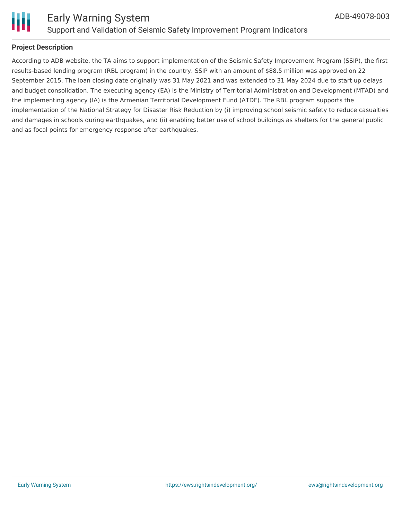

#### **Project Description**

According to ADB website, the TA aims to support implementation of the Seismic Safety Improvement Program (SSIP), the first results-based lending program (RBL program) in the country. SSIP with an amount of \$88.5 million was approved on 22 September 2015. The loan closing date originally was 31 May 2021 and was extended to 31 May 2024 due to start up delays and budget consolidation. The executing agency (EA) is the Ministry of Territorial Administration and Development (MTAD) and the implementing agency (IA) is the Armenian Territorial Development Fund (ATDF). The RBL program supports the implementation of the National Strategy for Disaster Risk Reduction by (i) improving school seismic safety to reduce casualties and damages in schools during earthquakes, and (ii) enabling better use of school buildings as shelters for the general public and as focal points for emergency response after earthquakes.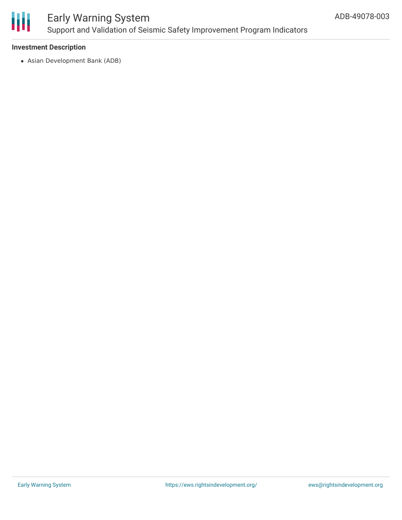

### Early Warning System Support and Validation of Seismic Safety Improvement Program Indicators

#### **Investment Description**

Asian Development Bank (ADB)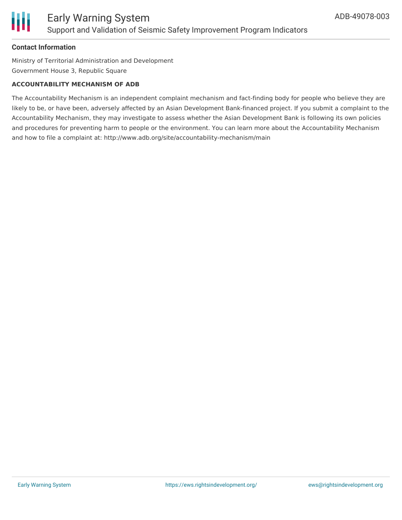

#### **Contact Information**

Ministry of Territorial Administration and Development Government House 3, Republic Square

#### **ACCOUNTABILITY MECHANISM OF ADB**

The Accountability Mechanism is an independent complaint mechanism and fact-finding body for people who believe they are likely to be, or have been, adversely affected by an Asian Development Bank-financed project. If you submit a complaint to the Accountability Mechanism, they may investigate to assess whether the Asian Development Bank is following its own policies and procedures for preventing harm to people or the environment. You can learn more about the Accountability Mechanism and how to file a complaint at: http://www.adb.org/site/accountability-mechanism/main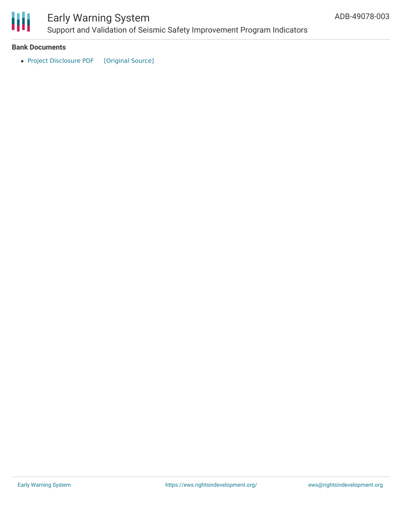

## Early Warning System

Support and Validation of Seismic Safety Improvement Program Indicators

#### **Bank Documents**

• Project [Disclosure](https://ewsdata.rightsindevelopment.org/files/documents/03/ADB-49078-003.pdf) PDF [\[Original](https://www.adb.org/printpdf/projects/49078-003/main) Source]